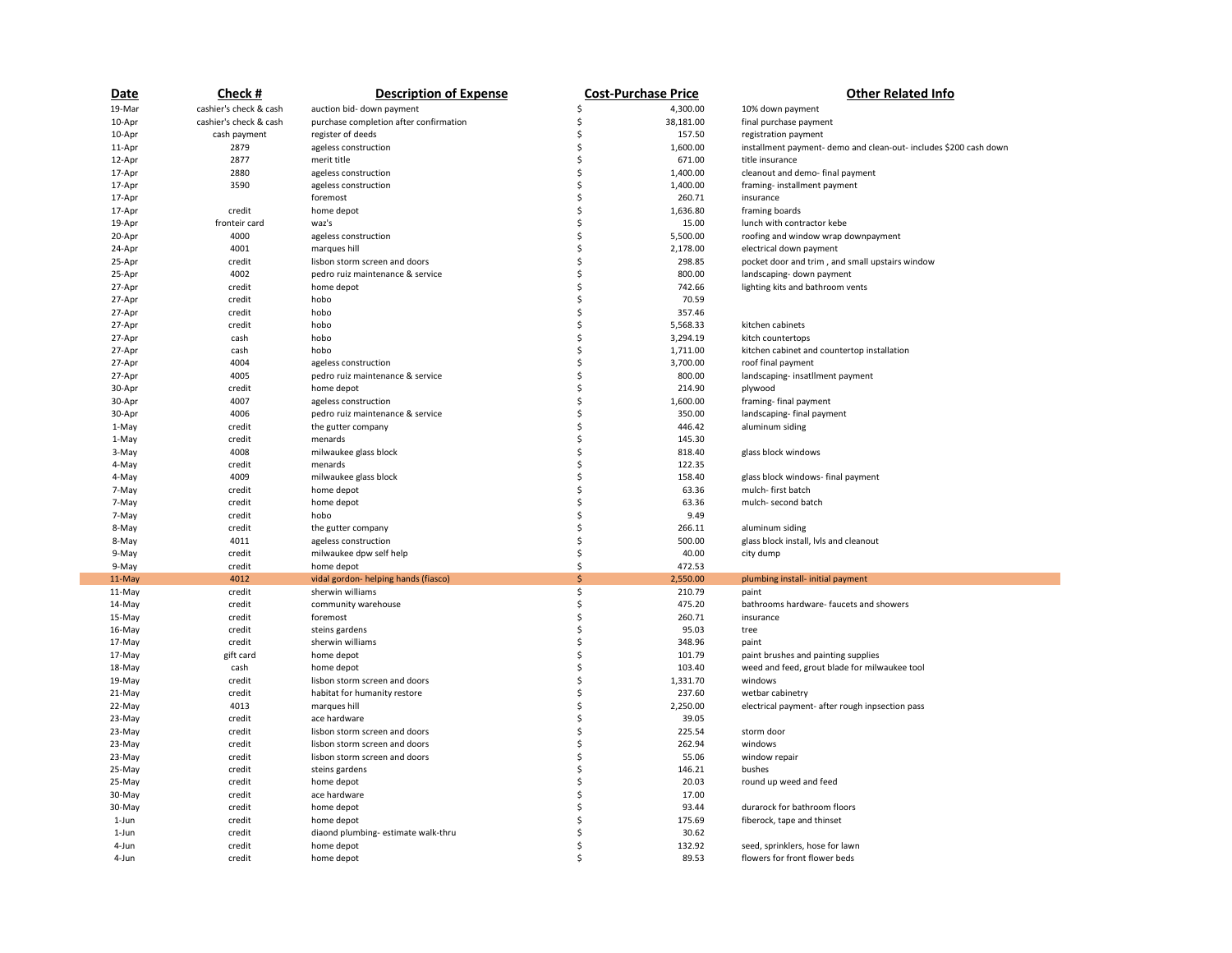| Date   | Check#                 | <b>Description of Expense</b>          |    | <b>Cost-Purchase Price</b> | <b>Other Related Info</b>                                         |
|--------|------------------------|----------------------------------------|----|----------------------------|-------------------------------------------------------------------|
| 19-Mar | cashier's check & cash | auction bid- down payment              | Ś  | 4,300.00                   | 10% down payment                                                  |
| 10-Apr | cashier's check & cash | purchase completion after confirmation | Ś  | 38,181.00                  | final purchase payment                                            |
| 10-Apr | cash payment           | register of deeds                      | \$ | 157.50                     | registration payment                                              |
| 11-Apr | 2879                   | ageless construction                   | \$ | 1,600.00                   | installment payment- demo and clean-out- includes \$200 cash down |
| 12-Apr | 2877                   | merit title                            | Ś  | 671.00                     | title insurance                                                   |
| 17-Apr | 2880                   | ageless construction                   | Ś  | 1,400.00                   | cleanout and demo- final payment                                  |
| 17-Apr | 3590                   | ageless construction                   | Ś  | 1,400.00                   | framing-installment payment                                       |
| 17-Apr |                        | foremost                               | \$ | 260.71                     | insurance                                                         |
| 17-Apr | credit                 | home depot                             | Ś  | 1,636.80                   | framing boards                                                    |
| 19-Apr | fronteir card          | waz's                                  | Ś  | 15.00                      | lunch with contractor kebe                                        |
| 20-Apr | 4000                   | ageless construction                   | Ś  | 5,500.00                   | roofing and window wrap downpayment                               |
| 24-Apr | 4001                   | marques hill                           | \$ | 2,178.00                   | electrical down payment                                           |
| 25-Apr | credit                 | lisbon storm screen and doors          | \$ | 298.85                     | pocket door and trim, and small upstairs window                   |
| 25-Apr | 4002                   | pedro ruiz maintenance & service       | Ś  | 800.00                     | landscaping- down payment                                         |
| 27-Apr | credit                 | home depot                             | Ś  | 742.66                     | lighting kits and bathroom vents                                  |
| 27-Apr | credit                 | hobo                                   | Ś  | 70.59                      |                                                                   |
| 27-Apr | credit                 | hobo                                   | \$ | 357.46                     |                                                                   |
| 27-Apr | credit                 | hobo                                   | \$ | 5,568.33                   | kitchen cabinets                                                  |
| 27-Apr | cash                   | hobo                                   | Ś  | 3,294.19                   | kitch countertops                                                 |
| 27-Apr | cash                   | hobo                                   | Ś  | 1,711.00                   | kitchen cabinet and countertop installation                       |
| 27-Apr | 4004                   | ageless construction                   | Ś  | 3,700.00                   | roof final payment                                                |
| 27-Apr | 4005                   | pedro ruiz maintenance & service       | Ś  | 800.00                     | landscaping-insatllment payment                                   |
| 30-Apr | credit                 | home depot                             | \$ | 214.90                     | plywood                                                           |
| 30-Apr | 4007                   | ageless construction                   | Ś  | 1,600.00                   | framing-final payment                                             |
| 30-Apr | 4006                   | pedro ruiz maintenance & service       | Ś  | 350.00                     | landscaping-final payment                                         |
| 1-May  | credit                 | the gutter company                     | \$ | 446.42                     | aluminum siding                                                   |
| 1-May  | credit                 | menards                                | \$ | 145.30                     |                                                                   |
| 3-May  | 4008                   | milwaukee glass block                  | \$ | 818.40                     | glass block windows                                               |
| 4-May  | credit                 | menards                                | Ś  | 122.35                     |                                                                   |
| 4-May  | 4009                   | milwaukee glass block                  | Ś  | 158.40                     | glass block windows- final payment                                |
| 7-May  | credit                 | home depot                             | \$ | 63.36                      | mulch-first batch                                                 |
| 7-May  | credit                 | home depot                             | \$ | 63.36                      | mulch- second batch                                               |
| 7-May  | credit                 | hobo                                   | Ś  | 9.49                       |                                                                   |
| 8-May  | credit                 | the gutter company                     | Ś  | 266.11                     | aluminum siding                                                   |
| 8-May  | 4011                   | ageless construction                   | \$ | 500.00                     | glass block install, lvls and cleanout                            |
| 9-May  | credit                 | milwaukee dpw self help                | \$ | 40.00                      | city dump                                                         |
| 9-May  | credit                 | home depot                             | \$ | 472.53                     |                                                                   |
| 11-May | 4012                   | vidal gordon- helping hands (fiasco)   | Ś  | 2,550.00                   | plumbing install- initial payment                                 |
| 11-May | credit                 | sherwin williams                       | \$ | 210.79                     | paint                                                             |
| 14-May | credit                 | community warehouse                    | \$ | 475.20                     | bathrooms hardware- faucets and showers                           |
| 15-May | credit                 | foremost                               | Ś  | 260.71                     | insurance                                                         |
| 16-May | credit                 | steins gardens                         | \$ | 95.03                      | tree                                                              |
| 17-May | credit                 | sherwin williams                       | \$ | 348.96                     | paint                                                             |
| 17-May | gift card              | home depot                             | \$ | 101.79                     | paint brushes and painting supplies                               |
| 18-May | cash                   | home depot                             | \$ | 103.40                     | weed and feed, grout blade for milwaukee tool                     |
| 19-May | credit                 | lisbon storm screen and doors          | \$ | 1,331.70                   | windows                                                           |
| 21-May | credit                 | habitat for humanity restore           | \$ | 237.60                     | wetbar cabinetry                                                  |
| 22-May | 4013                   | marques hill                           | Ś  | 2,250.00                   | electrical payment- after rough inpsection pass                   |
| 23-May | credit                 | ace hardware                           | \$ | 39.05                      |                                                                   |
| 23-May | credit                 | lisbon storm screen and doors          | Ś  | 225.54                     | storm door                                                        |
| 23-May | credit                 | lisbon storm screen and doors          | Ś  | 262.94                     | windows                                                           |
| 23-May | credit                 | lisbon storm screen and doors          | \$ | 55.06                      | window repair                                                     |
| 25-May | credit                 | steins gardens                         | \$ | 146.21                     | bushes                                                            |
| 25-May | credit                 | home depot                             | Ś  | 20.03                      | round up weed and feed                                            |
| 30-May | credit                 | ace hardware                           | Ś  | 17.00                      |                                                                   |
| 30-May | credit                 | home depot                             | Ś  | 93.44                      | durarock for bathroom floors                                      |
| 1-Jun  | credit                 | home depot                             | \$ | 175.69                     | fiberock, tape and thinset                                        |
| 1-Jun  | credit                 | diaond plumbing- estimate walk-thru    | Ś  | 30.62                      |                                                                   |
| 4-Jun  | credit                 | home depot                             | Ś  | 132.92                     | seed, sprinklers, hose for lawn                                   |
| 4-Jun  | credit                 | home depot                             | Ś  | 89.53                      | flowers for front flower beds                                     |
|        |                        |                                        |    |                            |                                                                   |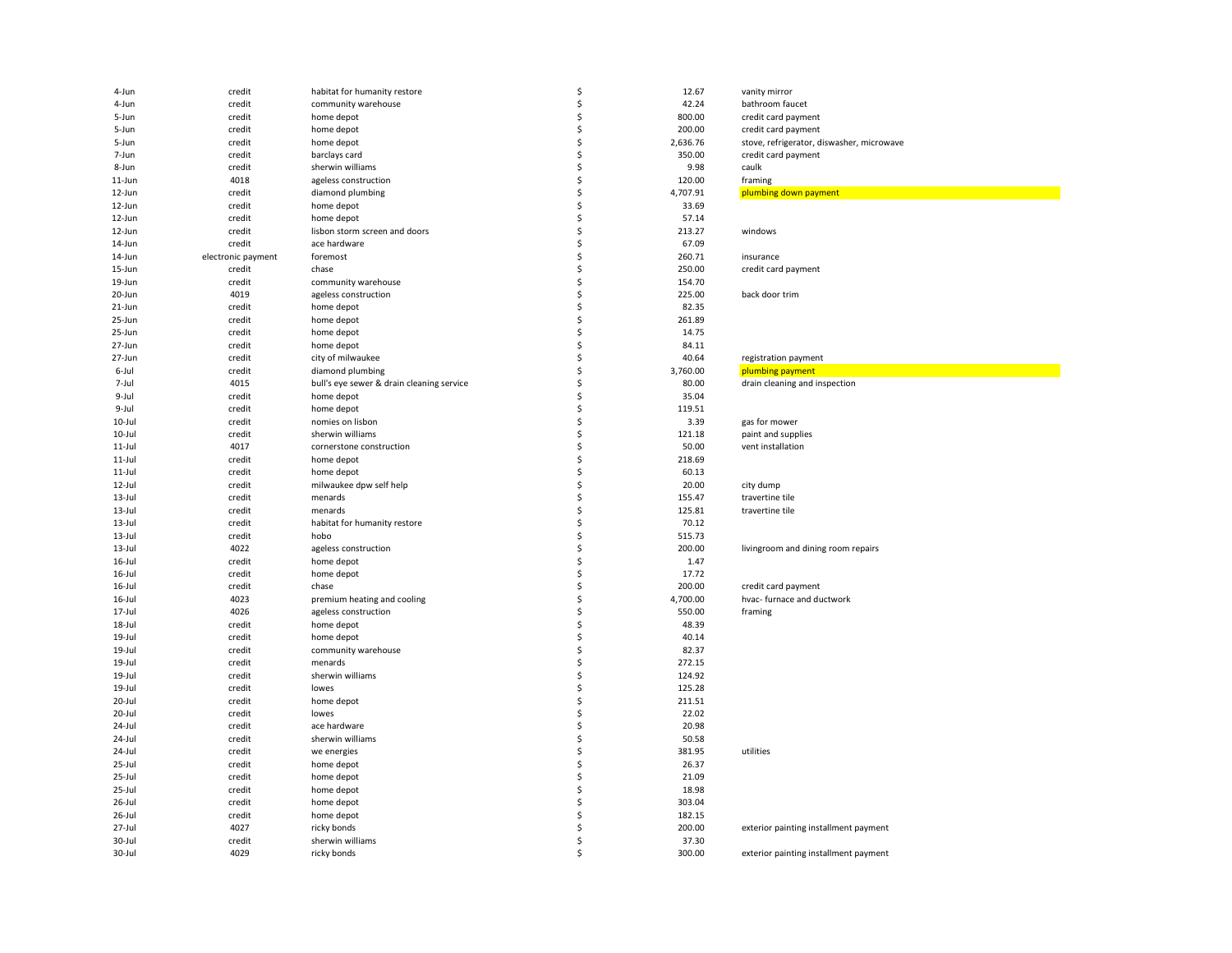| 4-Jun      | credit             | habitat for humanity restore              | \$  | 12.67    | vanity mirror                             |
|------------|--------------------|-------------------------------------------|-----|----------|-------------------------------------------|
| 4-Jun      | credit             | community warehouse                       | Ś   | 42.24    | bathroom faucet                           |
| 5-Jun      | credit             | home depot                                | \$  | 800.00   | credit card payment                       |
| 5-Jun      | credit             | home depot                                | Ś   | 200.00   | credit card payment                       |
| 5-Jun      | credit             | home depot                                | Ś   | 2,636.76 | stove, refrigerator, diswasher, microwave |
| 7-Jun      | credit             | barclays card                             | \$. | 350.00   | credit card payment                       |
| 8-Jun      | credit             | sherwin williams                          | \$  | 9.98     | caulk                                     |
| 11-Jun     | 4018               | ageless construction                      | Ś   | 120.00   | framing                                   |
| 12-Jun     | credit             | diamond plumbing                          | \$  | 4,707.91 | plumbing down payment                     |
| 12-Jun     | credit             | home depot                                | Ś   | 33.69    |                                           |
| 12-Jun     | credit             | home depot                                | Ś   | 57.14    |                                           |
| 12-Jun     | credit             | lisbon storm screen and doors             | Ś   | 213.27   | windows                                   |
| 14-Jun     | credit             | ace hardware                              | Ś   | 67.09    |                                           |
| 14-Jun     | electronic payment | foremost                                  | Ś   | 260.71   | insurance                                 |
| 15-Jun     | credit             | chase                                     | \$  | 250.00   | credit card payment                       |
| 19-Jun     | credit             | community warehouse                       | \$  | 154.70   |                                           |
| 20-Jun     | 4019               | ageless construction                      | Ś   | 225.00   | back door trim                            |
| 21-Jun     | credit             | home depot                                | Ś   | 82.35    |                                           |
| 25-Jun     | credit             | home depot                                | Ś   | 261.89   |                                           |
| 25-Jun     | credit             | home depot                                | \$. | 14.75    |                                           |
| 27-Jun     | credit             | home depot                                | Ś   | 84.11    |                                           |
| 27-Jun     | credit             | city of milwaukee                         | \$  | 40.64    |                                           |
|            | credit             | diamond plumbing                          | Ś   | 3,760.00 | registration payment                      |
| 6-Jul      | 4015               |                                           | \$  | 80.00    | plumbing payment                          |
| 7-Jul      |                    | bull's eye sewer & drain cleaning service | Ś   |          | drain cleaning and inspection             |
| 9-Jul      | credit             | home depot                                |     | 35.04    |                                           |
| 9-Jul      | credit             | home depot                                | Ś   | 119.51   |                                           |
| 10-Jul     | credit             | nomies on lisbon                          | Ś   | 3.39     | gas for mower                             |
| 10-Jul     | credit             | sherwin williams                          | Ś   | 121.18   | paint and supplies                        |
| $11$ -Jul  | 4017               | cornerstone construction                  | \$  | 50.00    | vent installation                         |
| 11-Jul     | credit             | home depot                                | Ś   | 218.69   |                                           |
| 11-Jul     | credit             | home depot                                | Ś   | 60.13    |                                           |
| 12-Jul     | credit             | milwaukee dpw self help                   | Ś   | 20.00    | city dump                                 |
| $13 -$ Jul | credit             | menards                                   | Ś   | 155.47   | travertine tile                           |
| $13 - Jul$ | credit             | menards                                   | Ś   | 125.81   | travertine tile                           |
| $13 - Jul$ | credit             | habitat for humanity restore              | Ś   | 70.12    |                                           |
| $13$ -Jul  | credit             | hobo                                      | Ś   | 515.73   |                                           |
| $13$ -Jul  | 4022               | ageless construction                      | Ś   | 200.00   | livingroom and dining room repairs        |
| 16-Jul     | credit             | home depot                                | \$. | 1.47     |                                           |
| 16-Jul     | credit             | home depot                                | Ś   | 17.72    |                                           |
| 16-Jul     | credit             | chase                                     | Ś   | 200.00   | credit card payment                       |
| 16-Jul     | 4023               | premium heating and cooling               | \$  | 4,700.00 | hvac- furnace and ductwork                |
| 17-Jul     | 4026               | ageless construction                      | \$  | 550.00   | framing                                   |
| 18-Jul     | credit             | home depot                                | Ś   | 48.39    |                                           |
| 19-Jul     | credit             | home depot                                | Ś   | 40.14    |                                           |
| 19-Jul     | credit             | community warehouse                       | Ś   | 82.37    |                                           |
| 19-Jul     | credit             | menards                                   | Ś   | 272.15   |                                           |
| 19-Jul     | credit             | sherwin williams                          | \$  | 124.92   |                                           |
| 19-Jul     | credit             | lowes                                     | Ś   | 125.28   |                                           |
| 20-Jul     | credit             | home depot                                | Ś   | 211.51   |                                           |
| 20-Jul     | credit             | lowes                                     | Ś   | 22.02    |                                           |
| 24-Jul     | credit             | ace hardware                              | Ś   | 20.98    |                                           |
| 24-Jul     | credit             | sherwin williams                          | Ś   | 50.58    |                                           |
| 24-Jul     | credit             | we energies                               | Ś   | 381.95   | utilities                                 |
| 25-Jul     | credit             | home depot                                | Ś   | 26.37    |                                           |
| 25-Jul     | credit             | home depot                                | Ś   | 21.09    |                                           |
| 25-Jul     | credit             | home depot                                | Ś   | 18.98    |                                           |
| 26-Jul     | credit             | home depot                                | Ś   | 303.04   |                                           |
| 26-Jul     | credit             | home depot                                | Ś   | 182.15   |                                           |
| 27-Jul     | 4027               | ricky bonds                               | Ś   | 200.00   | exterior painting installment payment     |
| 30-Jul     | credit             | sherwin williams                          | \$  | 37.30    |                                           |
| 30-Jul     | 4029               | ricky bonds                               | Ś   | 300.00   | exterior painting installment payment     |
|            |                    |                                           |     |          |                                           |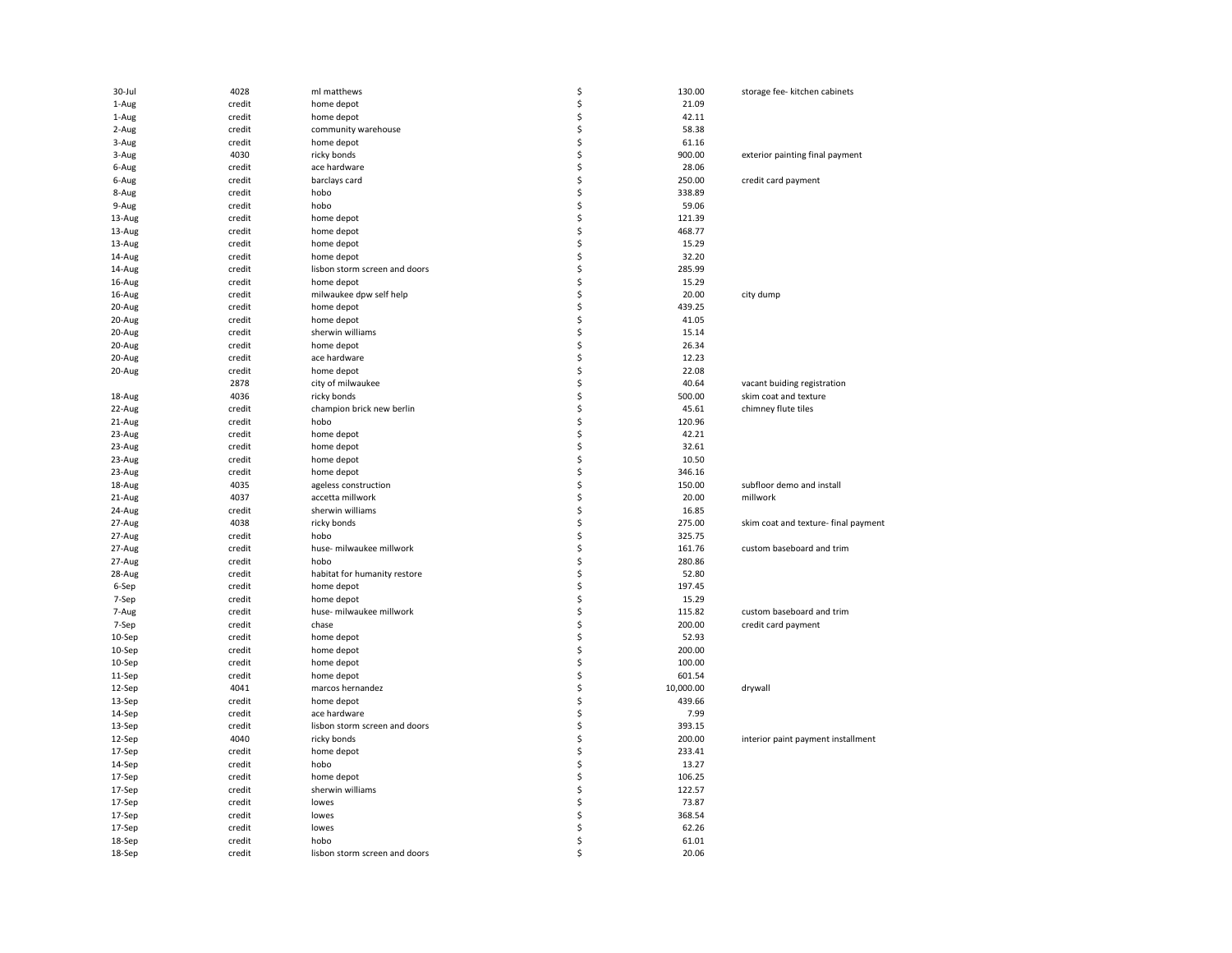| 30-Jul | 4028   | ml matthews                   | \$ | 130.00    | storage fee- kitchen cabinets        |
|--------|--------|-------------------------------|----|-----------|--------------------------------------|
| 1-Aug  | credit | home depot                    | Ś  | 21.09     |                                      |
| 1-Aug  | credit | home depot                    | \$ | 42.11     |                                      |
| 2-Aug  | credit | community warehouse           | \$ | 58.38     |                                      |
| 3-Aug  | credit | home depot                    | Ś  | 61.16     |                                      |
| 3-Aug  | 4030   | ricky bonds                   | \$ | 900.00    | exterior painting final payment      |
| 6-Aug  | credit | ace hardware                  | Ś  | 28.06     |                                      |
| 6-Aug  | credit | barclays card                 | Ś  | 250.00    | credit card payment                  |
|        | credit | hobo                          | Ś  | 338.89    |                                      |
| 8-Aug  |        |                               | Ś  |           |                                      |
| 9-Aug  | credit | hobo                          |    | 59.06     |                                      |
| 13-Aug | credit | home depot                    | \$ | 121.39    |                                      |
| 13-Aug | credit | home depot                    | \$ | 468.77    |                                      |
| 13-Aug | credit | home depot                    | \$ | 15.29     |                                      |
| 14-Aug | credit | home depot                    | Ś  | 32.20     |                                      |
| 14-Aug | credit | lisbon storm screen and doors | \$ | 285.99    |                                      |
| 16-Aug | credit | home depot                    | Ś  | 15.29     |                                      |
| 16-Aug | credit | milwaukee dpw self help       | Ś  | 20.00     | city dump                            |
| 20-Aug | credit | home depot                    | Ś  | 439.25    |                                      |
| 20-Aug | credit | home depot                    | Ś  | 41.05     |                                      |
| 20-Aug | credit | sherwin williams              | Ś  | 15.14     |                                      |
| 20-Aug | credit | home depot                    | Ś  | 26.34     |                                      |
| 20-Aug | credit | ace hardware                  | \$ | 12.23     |                                      |
| 20-Aug | credit | home depot                    | \$ | 22.08     |                                      |
|        | 2878   | city of milwaukee             | \$ | 40.64     | vacant buiding registration          |
| 18-Aug | 4036   | ricky bonds                   | Ś  | 500.00    | skim coat and texture                |
| 22-Aug | credit | champion brick new berlin     | \$ | 45.61     | chimney flute tiles                  |
| 21-Aug | credit | hobo                          | Ś  | 120.96    |                                      |
| 23-Aug | credit | home depot                    | \$ | 42.21     |                                      |
| 23-Aug | credit | home depot                    | Ś  | 32.61     |                                      |
| 23-Aug | credit | home depot                    | Ś  | 10.50     |                                      |
|        |        | home depot                    | Ś  | 346.16    |                                      |
| 23-Aug | credit |                               |    |           |                                      |
| 18-Aug | 4035   | ageless construction          | \$ | 150.00    | subfloor demo and install            |
| 21-Aug | 4037   | accetta millwork              | Ś  | 20.00     | millwork                             |
| 24-Aug | credit | sherwin williams              | Ś  | 16.85     |                                      |
| 27-Aug | 4038   | ricky bonds                   | Ś  | 275.00    | skim coat and texture- final payment |
| 27-Aug | credit | hobo                          | Ś  | 325.75    |                                      |
| 27-Aug | credit | huse- milwaukee millwork      | Ś  | 161.76    | custom baseboard and trim            |
| 27-Aug | credit | hobo                          | Ś  | 280.86    |                                      |
| 28-Aug | credit | habitat for humanity restore  | \$ | 52.80     |                                      |
| 6-Sep  | credit | home depot                    | Ś  | 197.45    |                                      |
| 7-Sep  | credit | home depot                    | \$ | 15.29     |                                      |
| 7-Aug  | credit | huse- milwaukee millwork      | Ś  | 115.82    | custom baseboard and trim            |
| 7-Sep  | credit | chase                         | Ś  | 200.00    | credit card payment                  |
| 10-Sep | credit | home depot                    | Ś  | 52.93     |                                      |
| 10-Sep | credit | home depot                    | Ś  | 200.00    |                                      |
| 10-Sep | credit | home depot                    | Ś  | 100.00    |                                      |
| 11-Sep | credit | home depot                    | Ś  | 601.54    |                                      |
| 12-Sep | 4041   | marcos hernandez              | \$ | 10,000.00 | drywall                              |
| 13-Sep | credit | home depot                    | \$ | 439.66    |                                      |
| 14-Sep | credit | ace hardware                  | \$ | 7.99      |                                      |
| 13-Sep | credit | lisbon storm screen and doors | Ś  | 393.15    |                                      |
| 12-Sep | 4040   | ricky bonds                   | Ś  | 200.00    | interior paint payment installment   |
| 17-Sep | credit | home depot                    | Ś  | 233.41    |                                      |
| 14-Sep | credit | hobo                          | Ś  | 13.27     |                                      |
| 17-Sep | credit | home depot                    | Ś  | 106.25    |                                      |
|        |        |                               |    |           |                                      |
| 17-Sep | credit | sherwin williams              | Ś  | 122.57    |                                      |
| 17-Sep | credit | lowes                         | \$ | 73.87     |                                      |
| 17-Sep | credit | lowes                         | \$ | 368.54    |                                      |
| 17-Sep | credit | lowes                         | \$ | 62.26     |                                      |
| 18-Sep | credit | hobo                          | Ś  | 61.01     |                                      |
| 18-Sep | credit | lisbon storm screen and doors | Ś  | 20.06     |                                      |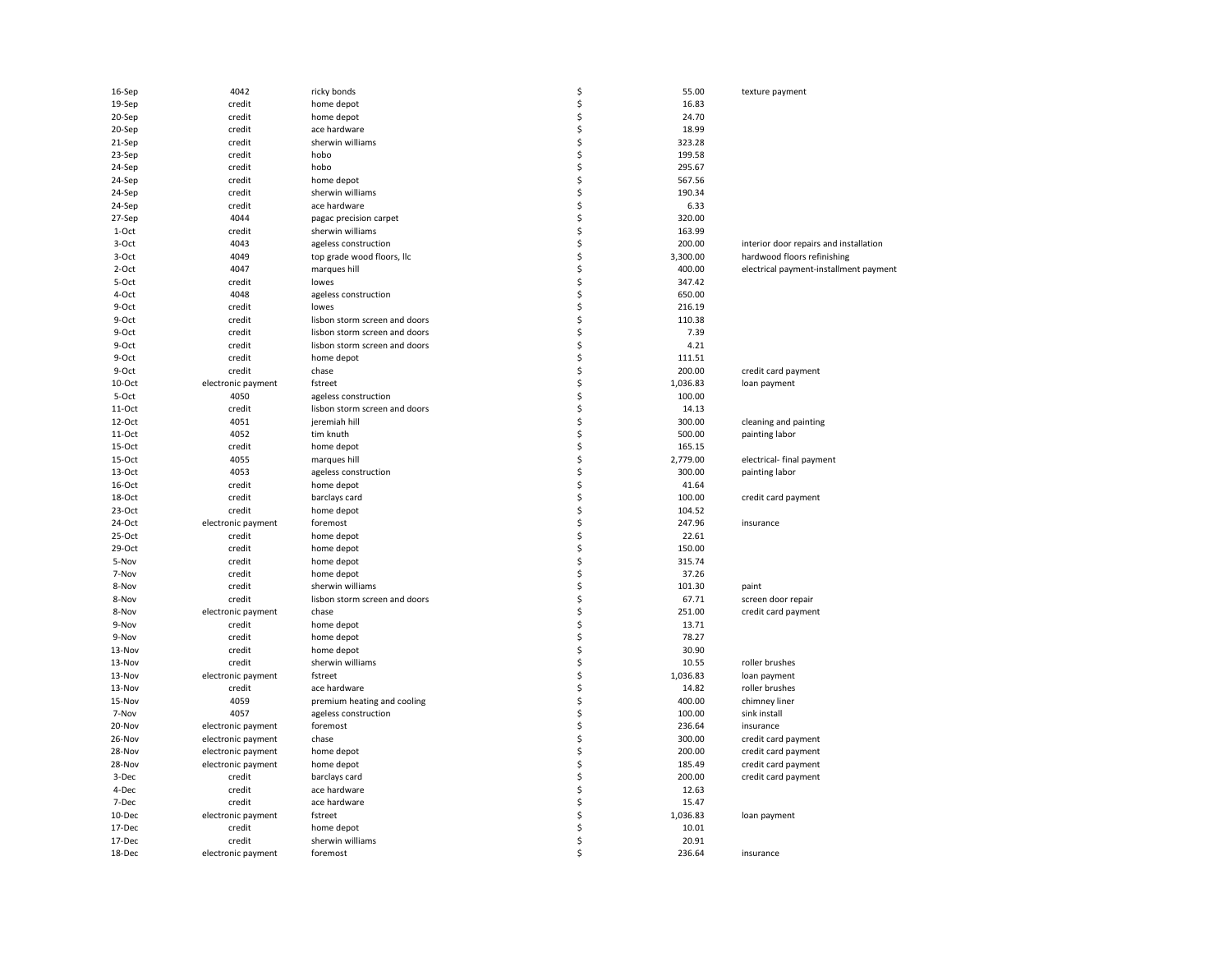| 16-Sep   | 4042               | ricky bonds                   | \$       | 55.00    | texture payment                        |
|----------|--------------------|-------------------------------|----------|----------|----------------------------------------|
| 19-Sep   | credit             | home depot                    | \$       | 16.83    |                                        |
| 20-Sep   | credit             | home depot                    | \$       | 24.70    |                                        |
| 20-Sep   | credit             | ace hardware                  | \$       | 18.99    |                                        |
| 21-Sep   | credit             | sherwin williams              | \$       | 323.28   |                                        |
| 23-Sep   | credit             | hobo                          | \$       | 199.58   |                                        |
| 24-Sep   | credit             | hobo                          | \$       | 295.67   |                                        |
| 24-Sep   | credit             | home depot                    | \$       | 567.56   |                                        |
| 24-Sep   | credit             | sherwin williams              | \$       | 190.34   |                                        |
| 24-Sep   | credit             | ace hardware                  | \$       | 6.33     |                                        |
| 27-Sep   | 4044               | pagac precision carpet        | \$       | 320.00   |                                        |
| 1-Oct    | credit             | sherwin williams              | \$       | 163.99   |                                        |
| 3-Oct    | 4043               | ageless construction          | \$       | 200.00   | interior door repairs and installation |
| 3-Oct    | 4049               | top grade wood floors, llc    | \$       | 3,300.00 | hardwood floors refinishing            |
| 2-Oct    | 4047               | marques hill                  | \$       | 400.00   | electrical payment-installment payment |
| 5-Oct    |                    |                               |          | 347.42   |                                        |
| 4-Oct    | credit<br>4048     | lowes                         | \$<br>\$ | 650.00   |                                        |
|          |                    | ageless construction          |          |          |                                        |
| 9-Oct    | credit             | lowes                         | \$       | 216.19   |                                        |
| 9-Oct    | credit             | lisbon storm screen and doors | \$       | 110.38   |                                        |
| 9-Oct    | credit             | lisbon storm screen and doors | \$       | 7.39     |                                        |
| 9-Oct    | credit             | lisbon storm screen and doors | \$       | 4.21     |                                        |
| 9-Oct    | credit             | home depot                    | \$       | 111.51   |                                        |
| 9-Oct    | credit             | chase                         | \$       | 200.00   | credit card payment                    |
| 10-Oct   | electronic payment | fstreet                       | \$       | 1,036.83 | loan payment                           |
| 5-Oct    | 4050               | ageless construction          | \$       | 100.00   |                                        |
| 11-Oct   | credit             | lisbon storm screen and doors | \$       | 14.13    |                                        |
| $12-Oct$ | 4051               | jeremiah hill                 | \$       | 300.00   | cleaning and painting                  |
| 11-Oct   | 4052               | tim knuth                     | \$       | 500.00   | painting labor                         |
| 15-Oct   | credit             | home depot                    | \$       | 165.15   |                                        |
| $15-Oct$ | 4055               | marques hill                  | \$       | 2,779.00 | electrical- final payment              |
| $13-Oct$ | 4053               | ageless construction          | \$       | 300.00   | painting labor                         |
| 16-Oct   | credit             | home depot                    | \$       | 41.64    |                                        |
| 18-Oct   | credit             | barclays card                 | \$       | 100.00   | credit card payment                    |
| 23-Oct   | credit             | home depot                    | \$       | 104.52   |                                        |
| 24-Oct   | electronic payment | foremost                      | \$       | 247.96   | insurance                              |
| 25-Oct   | credit             | home depot                    | \$       | 22.61    |                                        |
| 29-Oct   | credit             | home depot                    | \$       | 150.00   |                                        |
| 5-Nov    | credit             | home depot                    | \$       | 315.74   |                                        |
| 7-Nov    | credit             | home depot                    | \$       | 37.26    |                                        |
|          |                    |                               |          |          |                                        |
| 8-Nov    | credit             | sherwin williams              | \$       | 101.30   | paint                                  |
| 8-Nov    | credit             | lisbon storm screen and doors | \$       | 67.71    | screen door repair                     |
| 8-Nov    | electronic payment | chase                         | \$       | 251.00   | credit card payment                    |
| 9-Nov    | credit             | home depot                    | \$       | 13.71    |                                        |
| 9-Nov    | credit             | home depot                    | \$       | 78.27    |                                        |
| 13-Nov   | credit             | home depot                    | \$       | 30.90    |                                        |
| 13-Nov   | credit             | sherwin williams              | \$       | 10.55    | roller brushes                         |
| 13-Nov   | electronic payment | fstreet                       | \$       | 1,036.83 | loan payment                           |
| 13-Nov   | credit             | ace hardware                  | \$       | 14.82    | roller brushes                         |
| 15-Nov   | 4059               | premium heating and cooling   | \$       | 400.00   | chimney liner                          |
| 7-Nov    | 4057               | ageless construction          | \$       | 100.00   | sink install                           |
| 20-Nov   | electronic payment | foremost                      | \$       | 236.64   | insurance                              |
| 26-Nov   | electronic payment | chase                         | \$       | 300.00   | credit card payment                    |
| 28-Nov   | electronic payment | home depot                    | \$       | 200.00   | credit card payment                    |
| 28-Nov   | electronic payment | home depot                    | \$       | 185.49   | credit card payment                    |
| 3-Dec    | credit             | barclays card                 | \$       | 200.00   | credit card payment                    |
| 4-Dec    | credit             | ace hardware                  | \$       | 12.63    |                                        |
| 7-Dec    | credit             | ace hardware                  | \$       | 15.47    |                                        |
| 10-Dec   | electronic payment | fstreet                       | \$       | 1,036.83 | loan payment                           |
| 17-Dec   | credit             | home depot                    | \$       | 10.01    |                                        |
| 17-Dec   | credit             | sherwin williams              | \$       | 20.91    |                                        |
| 18-Dec   | electronic payment | foremost                      | \$       | 236.64   | insurance                              |
|          |                    |                               |          |          |                                        |